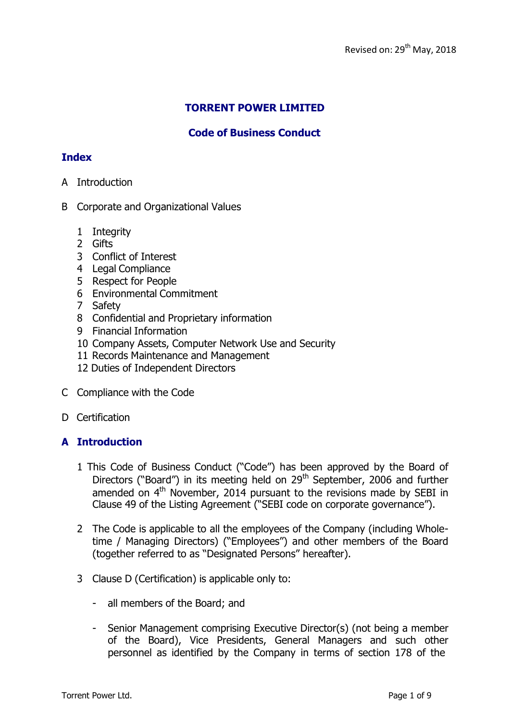# **TORRENT POWER LIMITED**

# **Code of Business Conduct**

## **Index**

- A Introduction
- B Corporate and Organizational Values
	- 1 Integrity
	- 2 Gifts
	- 3 Conflict of Interest
	- 4 Legal Compliance
	- 5 Respect for People
	- 6 Environmental Commitment
	- 7 Safety
	- 8 Confidential and Proprietary information
	- 9 Financial Information
	- 10 Company Assets, Computer Network Use and Security
	- 11 Records Maintenance and Management
	- 12 Duties of Independent Directors
- C Compliance with the Code
- D Certification

## **A Introduction**

- 1 This Code of Business Conduct ("Code") has been approved by the Board of Directors ("Board") in its meeting held on 29<sup>th</sup> September, 2006 and further amended on 4<sup>th</sup> November, 2014 pursuant to the revisions made by SEBI in Clause 49 of the Listing Agreement ("SEBI code on corporate governance").
- 2 The Code is applicable to all the employees of the Company (including Wholetime / Managing Directors) ("Employees") and other members of the Board (together referred to as "Designated Persons" hereafter).
- 3 Clause D (Certification) is applicable only to:
	- all members of the Board; and
	- Senior Management comprising Executive Director(s) (not being a member of the Board), Vice Presidents, General Managers and such other personnel as identified by the Company in terms of section 178 of the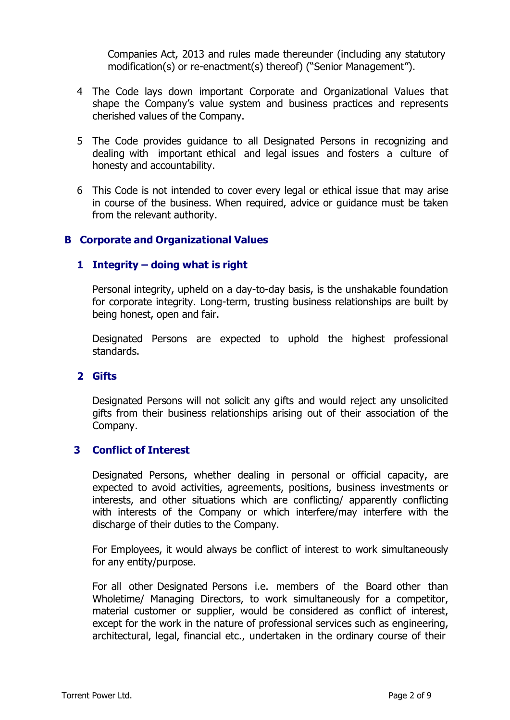Companies Act, 2013 and rules made thereunder (including any statutory modification(s) or re-enactment(s) thereof) ("Senior Management").

- 4 The Code lays down important Corporate and Organizational Values that shape the Company's value system and business practices and represents cherished values of the Company.
- 5 The Code provides guidance to all Designated Persons in recognizing and dealing with important ethical and legal issues and fosters a culture of honesty and accountability.
- 6 This Code is not intended to cover every legal or ethical issue that may arise in course of the business. When required, advice or guidance must be taken from the relevant authority.

## **B Corporate and Organizational Values**

## **1 Integrity – doing what is right**

Personal integrity, upheld on a day-to-day basis, is the unshakable foundation for corporate integrity. Long-term, trusting business relationships are built by being honest, open and fair.

Designated Persons are expected to uphold the highest professional standards.

### **2 Gifts**

Designated Persons will not solicit any gifts and would reject any unsolicited gifts from their business relationships arising out of their association of the Company.

### **3 Conflict of Interest**

Designated Persons, whether dealing in personal or official capacity, are expected to avoid activities, agreements, positions, business investments or interests, and other situations which are conflicting/ apparently conflicting with interests of the Company or which interfere/may interfere with the discharge of their duties to the Company.

For Employees, it would always be conflict of interest to work simultaneously for any entity/purpose.

For all other Designated Persons i.e. members of the Board other than Wholetime/ Managing Directors, to work simultaneously for a competitor, material customer or supplier, would be considered as conflict of interest, except for the work in the nature of professional services such as engineering, architectural, legal, financial etc., undertaken in the ordinary course of their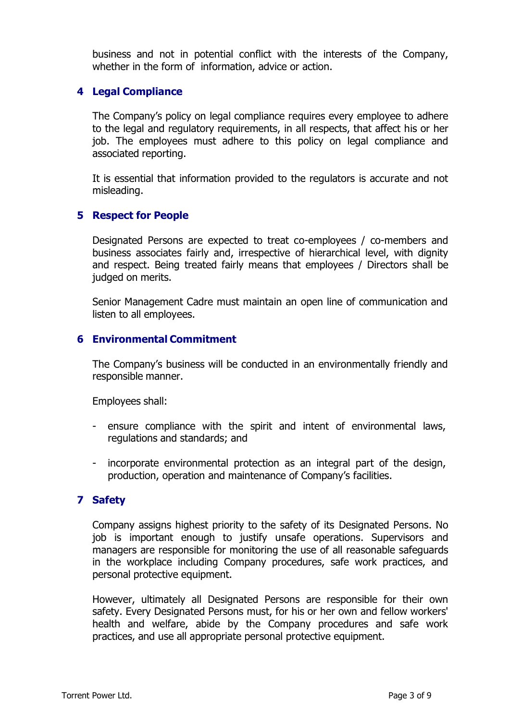business and not in potential conflict with the interests of the Company, whether in the form of information, advice or action.

### **4 Legal Compliance**

The Company's policy on legal compliance requires every employee to adhere to the legal and regulatory requirements, in all respects, that affect his or her job. The employees must adhere to this policy on legal compliance and associated reporting.

It is essential that information provided to the regulators is accurate and not misleading.

### **5 Respect for People**

Designated Persons are expected to treat co-employees / co-members and business associates fairly and, irrespective of hierarchical level, with dignity and respect. Being treated fairly means that employees / Directors shall be judged on merits.

Senior Management Cadre must maintain an open line of communication and listen to all employees.

### **6 Environmental Commitment**

The Company's business will be conducted in an environmentally friendly and responsible manner.

Employees shall:

- ensure compliance with the spirit and intent of environmental laws, regulations and standards; and
- incorporate environmental protection as an integral part of the design, production, operation and maintenance of Company's facilities.

### **7 Safety**

Company assigns highest priority to the safety of its Designated Persons. No job is important enough to justify unsafe operations. Supervisors and managers are responsible for monitoring the use of all reasonable safeguards in the workplace including Company procedures, safe work practices, and personal protective equipment.

However, ultimately all Designated Persons are responsible for their own safety. Every Designated Persons must, for his or her own and fellow workers' health and welfare, abide by the Company procedures and safe work practices, and use all appropriate personal protective equipment.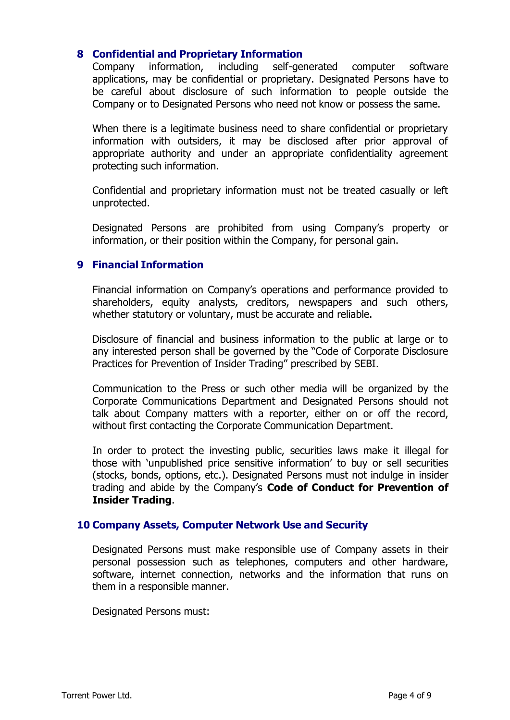## **8 Confidential and Proprietary Information**

Company information, including self-generated computer software applications, may be confidential or proprietary. Designated Persons have to be careful about disclosure of such information to people outside the Company or to Designated Persons who need not know or possess the same.

When there is a legitimate business need to share confidential or proprietary information with outsiders, it may be disclosed after prior approval of appropriate authority and under an appropriate confidentiality agreement protecting such information.

Confidential and proprietary information must not be treated casually or left unprotected.

Designated Persons are prohibited from using Company's property or information, or their position within the Company, for personal gain.

### **9 Financial Information**

Financial information on Company's operations and performance provided to shareholders, equity analysts, creditors, newspapers and such others, whether statutory or voluntary, must be accurate and reliable.

Disclosure of financial and business information to the public at large or to any interested person shall be governed by the "Code of Corporate Disclosure Practices for Prevention of Insider Trading" prescribed by SEBI.

Communication to the Press or such other media will be organized by the Corporate Communications Department and Designated Persons should not talk about Company matters with a reporter, either on or off the record, without first contacting the Corporate Communication Department.

In order to protect the investing public, securities laws make it illegal for those with 'unpublished price sensitive information' to buy or sell securities (stocks, bonds, options, etc.). Designated Persons must not indulge in insider trading and abide by the Company's **Code of Conduct for Prevention of Insider Trading**.

### **10 Company Assets, Computer Network Use and Security**

Designated Persons must make responsible use of Company assets in their personal possession such as telephones, computers and other hardware, software, internet connection, networks and the information that runs on them in a responsible manner.

Designated Persons must: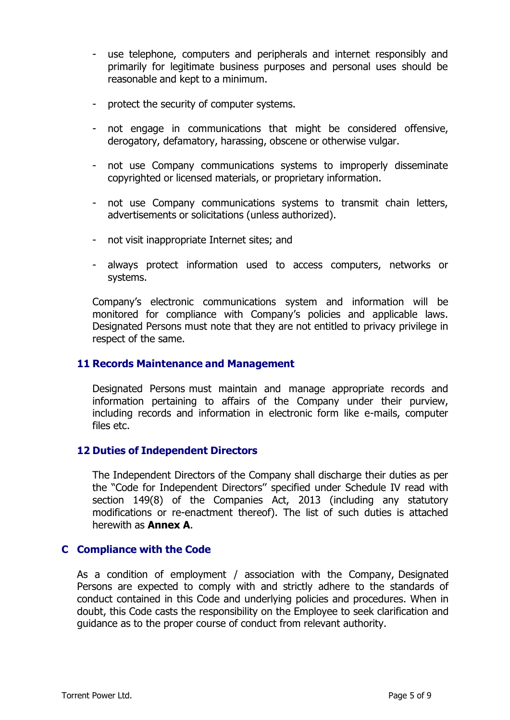- use telephone, computers and peripherals and internet responsibly and primarily for legitimate business purposes and personal uses should be reasonable and kept to a minimum.
- protect the security of computer systems.
- not engage in communications that might be considered offensive, derogatory, defamatory, harassing, obscene or otherwise vulgar.
- not use Company communications systems to improperly disseminate copyrighted or licensed materials, or proprietary information.
- not use Company communications systems to transmit chain letters, advertisements or solicitations (unless authorized).
- not visit inappropriate Internet sites; and
- always protect information used to access computers, networks or systems.

Company's electronic communications system and information will be monitored for compliance with Company's policies and applicable laws. Designated Persons must note that they are not entitled to privacy privilege in respect of the same.

## **11 Records Maintenance and Management**

Designated Persons must maintain and manage appropriate records and information pertaining to affairs of the Company under their purview, including records and information in electronic form like e-mails, computer files etc.

### **12 Duties of Independent Directors**

The Independent Directors of the Company shall discharge their duties as per the "Code for Independent Directors'' specified under Schedule IV read with section 149(8) of the Companies Act, 2013 (including any statutory modifications or re-enactment thereof). The list of such duties is attached herewith as **Annex A**.

### **C Compliance with the Code**

As a condition of employment / association with the Company, Designated Persons are expected to comply with and strictly adhere to the standards of conduct contained in this Code and underlying policies and procedures. When in doubt, this Code casts the responsibility on the Employee to seek clarification and guidance as to the proper course of conduct from relevant authority.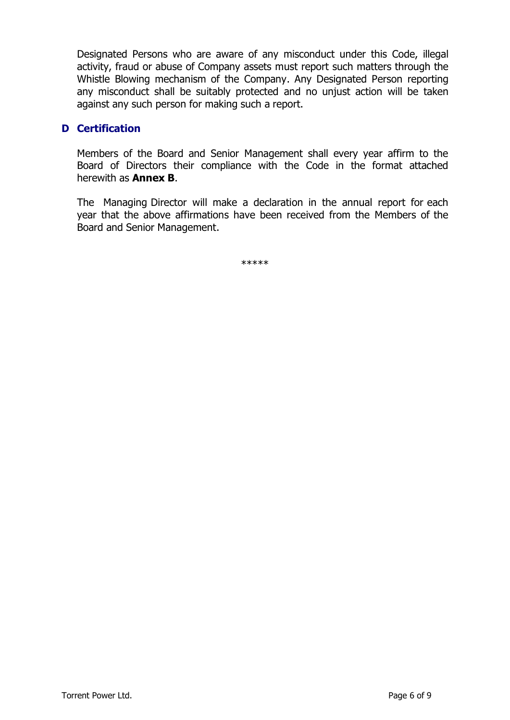Designated Persons who are aware of any misconduct under this Code, illegal activity, fraud or abuse of Company assets must report such matters through the Whistle Blowing mechanism of the Company. Any Designated Person reporting any misconduct shall be suitably protected and no unjust action will be taken against any such person for making such a report.

## **D Certification**

Members of the Board and Senior Management shall every year affirm to the Board of Directors their compliance with the Code in the format attached herewith as **Annex B**.

The Managing Director will make a declaration in the annual report for each year that the above affirmations have been received from the Members of the Board and Senior Management.

\*\*\*\*\*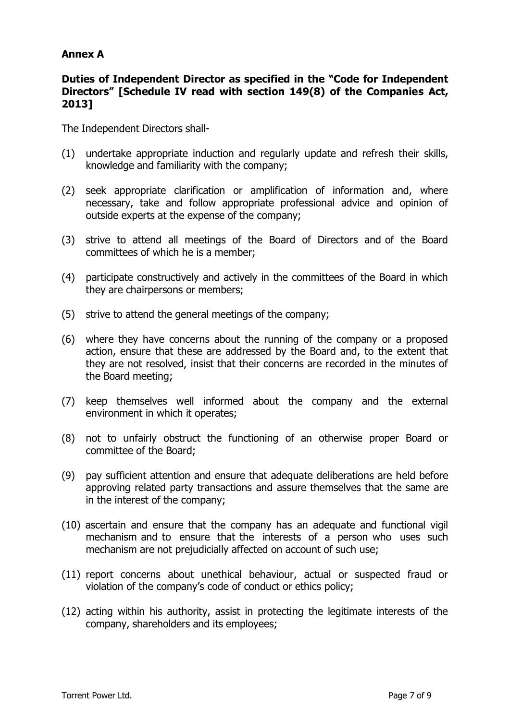## **Annex A**

## **Duties of Independent Director as specified in the "Code for Independent Directors" [Schedule IV read with section 149(8) of the Companies Act, 2013]**

The Independent Directors shall-

- (1) undertake appropriate induction and regularly update and refresh their skills, knowledge and familiarity with the company;
- (2) seek appropriate clarification or amplification of information and, where necessary, take and follow appropriate professional advice and opinion of outside experts at the expense of the company;
- (3) strive to attend all meetings of the Board of Directors and of the Board committees of which he is a member;
- (4) participate constructively and actively in the committees of the Board in which they are chairpersons or members;
- (5) strive to attend the general meetings of the company;
- (6) where they have concerns about the running of the company or a proposed action, ensure that these are addressed by the Board and, to the extent that they are not resolved, insist that their concerns are recorded in the minutes of the Board meeting;
- (7) keep themselves well informed about the company and the external environment in which it operates;
- (8) not to unfairly obstruct the functioning of an otherwise proper Board or committee of the Board;
- (9) pay sufficient attention and ensure that adequate deliberations are held before approving related party transactions and assure themselves that the same are in the interest of the company;
- (10) ascertain and ensure that the company has an adequate and functional vigil mechanism and to ensure that the interests of a person who uses such mechanism are not prejudicially affected on account of such use;
- (11) report concerns about unethical behaviour, actual or suspected fraud or violation of the company's code of conduct or ethics policy;
- (12) acting within his authority, assist in protecting the legitimate interests of the company, shareholders and its employees;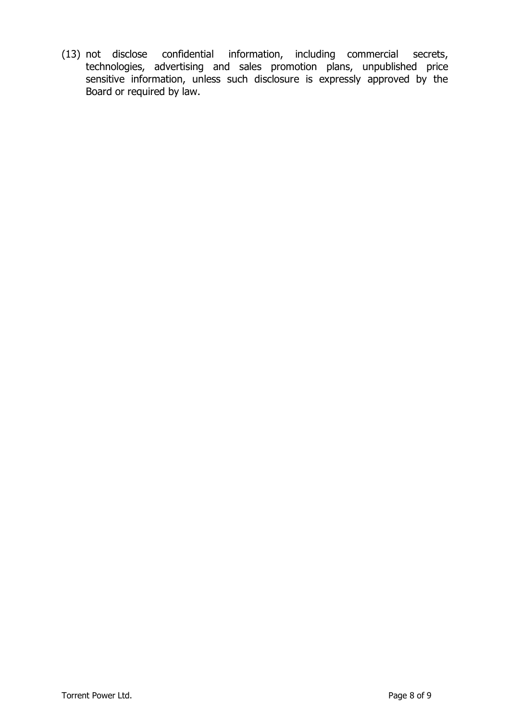(13) not disclose confidential information, including commercial secrets, technologies, advertising and sales promotion plans, unpublished price sensitive information, unless such disclosure is expressly approved by the Board or required by law.